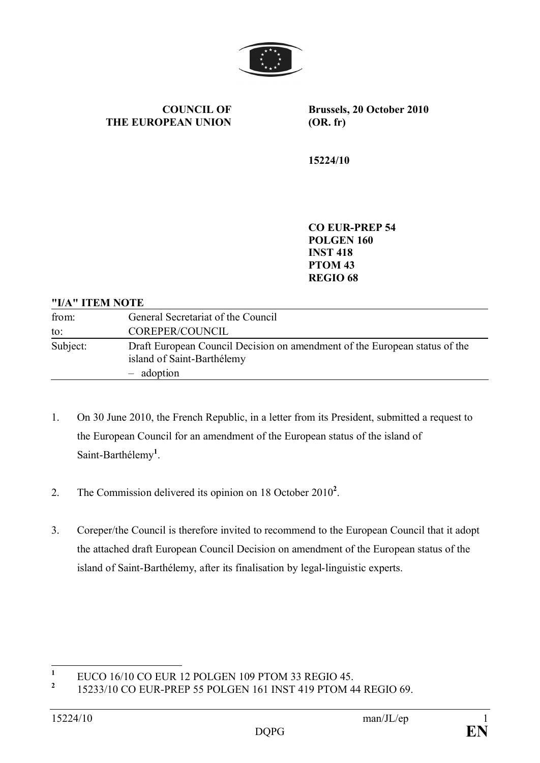

**COUNCIL OF THE EUROPEAN UNION** **Brussels, 20 October 2010 (OR. fr)**

**15224/10**

**CO EUR-PREP 54 POLGEN 160 INST 418 PTOM 43 REGIO 68**

#### **"I/A" ITEM NOTE**

| from:    | General Secretariat of the Council                                                                                     |
|----------|------------------------------------------------------------------------------------------------------------------------|
| to:      | COREPER/COUNCIL                                                                                                        |
| Subject: | Draft European Council Decision on amendment of the European status of the<br>island of Saint-Barthélemy<br>- adoption |

- 1. On 30 June 2010, the French Republic, in a letter from its President, submitted a request to the European Council for an amendment of the European status of the island of Saint-Barthélemy**<sup>1</sup>** .
- 2. The Commission delivered its opinion on 18 October 2010<sup>2</sup>.
- 3. Coreper/the Council is therefore invited to recommend to the European Council that it adopt the attached draft European Council Decision on amendment of the European status of the island of Saint-Barthélemy, after its finalisation by legal-linguistic experts.

**<sup>1</sup>** EUCO 16/10 CO EUR 12 POLGEN 109 PTOM 33 REGIO 45.

**<sup>2</sup>** 15233/10 CO EUR-PREP 55 POLGEN 161 INST 419 PTOM 44 REGIO 69.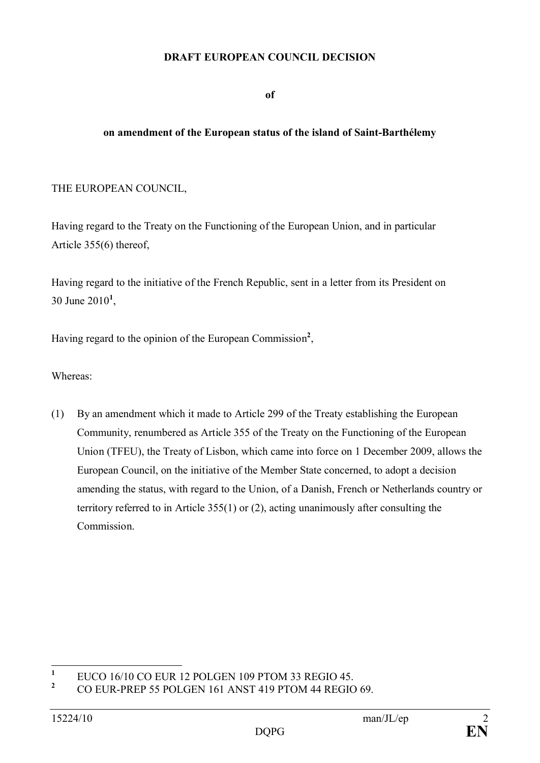### **DRAFT EUROPEAN COUNCIL DECISION**

**of**

### **on amendment of the European status of the island of Saint-Barthélemy**

### THE EUROPEAN COUNCIL,

Having regard to the Treaty on the Functioning of the European Union, and in particular Article 355(6) thereof,

Having regard to the initiative of the French Republic, sent in a letter from its President on 30 June 2010**<sup>1</sup>** ,

Having regard to the opinion of the European Commission **2** ,

Whereas:

(1) By an amendment which it made to Article 299 of the Treaty establishing the European Community, renumbered as Article 355 of the Treaty on the Functioning of the European Union (TFEU), the Treaty of Lisbon, which came into force on 1 December 2009, allows the European Council, on the initiative of the Member State concerned, to adopt a decision amending the status, with regard to the Union, of a Danish, French or Netherlands country or territory referred to in Article 355(1) or (2), acting unanimously after consulting the Commission.

**<sup>1</sup>** EUCO 16/10 CO EUR 12 POLGEN 109 PTOM 33 REGIO 45.

**<sup>2</sup>** CO EUR-PREP 55 POLGEN 161 ANST 419 PTOM 44 REGIO 69.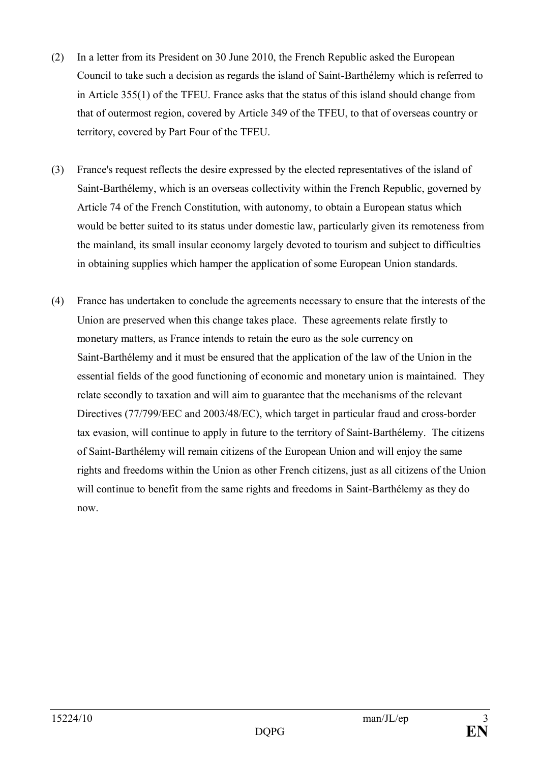- (2) In a letter from its President on 30 June 2010, the French Republic asked the European Council to take such a decision as regards the island of Saint-Barthélemy which is referred to in Article 355(1) of the TFEU. France asks that the status of this island should change from that of outermost region, covered by Article 349 of the TFEU, to that of overseas country or territory, covered by Part Four of the TFEU.
- (3) France's request reflects the desire expressed by the elected representatives of the island of Saint-Barthélemy, which is an overseas collectivity within the French Republic, governed by Article 74 of the French Constitution, with autonomy, to obtain a European status which would be better suited to its status under domestic law, particularly given its remoteness from the mainland, its small insular economy largely devoted to tourism and subject to difficulties in obtaining supplies which hamper the application of some European Union standards.
- (4) France has undertaken to conclude the agreements necessary to ensure that the interests of the Union are preserved when this change takes place. These agreements relate firstly to monetary matters, as France intends to retain the euro as the sole currency on Saint-Barthélemy and it must be ensured that the application of the law of the Union in the essential fields of the good functioning of economic and monetary union is maintained. They relate secondly to taxation and will aim to guarantee that the mechanisms of the relevant Directives (77/799/EEC and 2003/48/EC), which target in particular fraud and cross-border tax evasion, will continue to apply in future to the territory of Saint-Barthélemy. The citizens of Saint-Barthélemy will remain citizens of the European Union and will enjoy the same rights and freedoms within the Union as other French citizens, just as all citizens of the Union will continue to benefit from the same rights and freedoms in Saint-Barthélemy as they do now.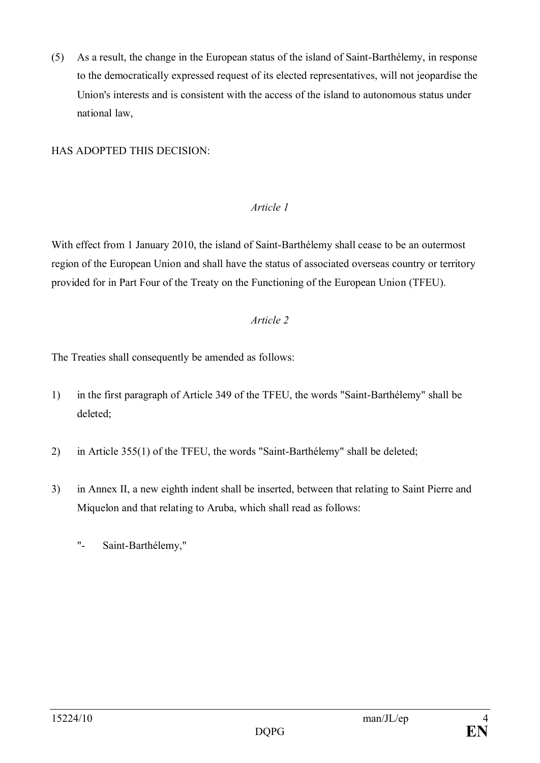(5) As a result, the change in the European status of the island of Saint-Barthélemy, in response to the democratically expressed request of its elected representatives, will not jeopardise the Union's interests and is consistent with the access of the island to autonomous status under national law,

## HAS ADOPTED THIS DECISION:

## *Article 1*

With effect from 1 January 2010, the island of Saint-Barthélemy shall cease to be an outermost region of the European Union and shall have the status of associated overseas country or territory provided for in Part Four of the Treaty on the Functioning of the European Union (TFEU).

# *Article 2*

The Treaties shall consequently be amended as follows:

- 1) in the first paragraph of Article 349 of the TFEU, the words "Saint-Barthélemy" shall be deleted;
- 2) in Article 355(1) of the TFEU, the words "Saint-Barthélemy" shall be deleted;
- 3) in Annex II, a new eighth indent shall be inserted, between that relating to Saint Pierre and Miquelon and that relating to Aruba, which shall read as follows:
	- "- Saint-Barthélemy,"